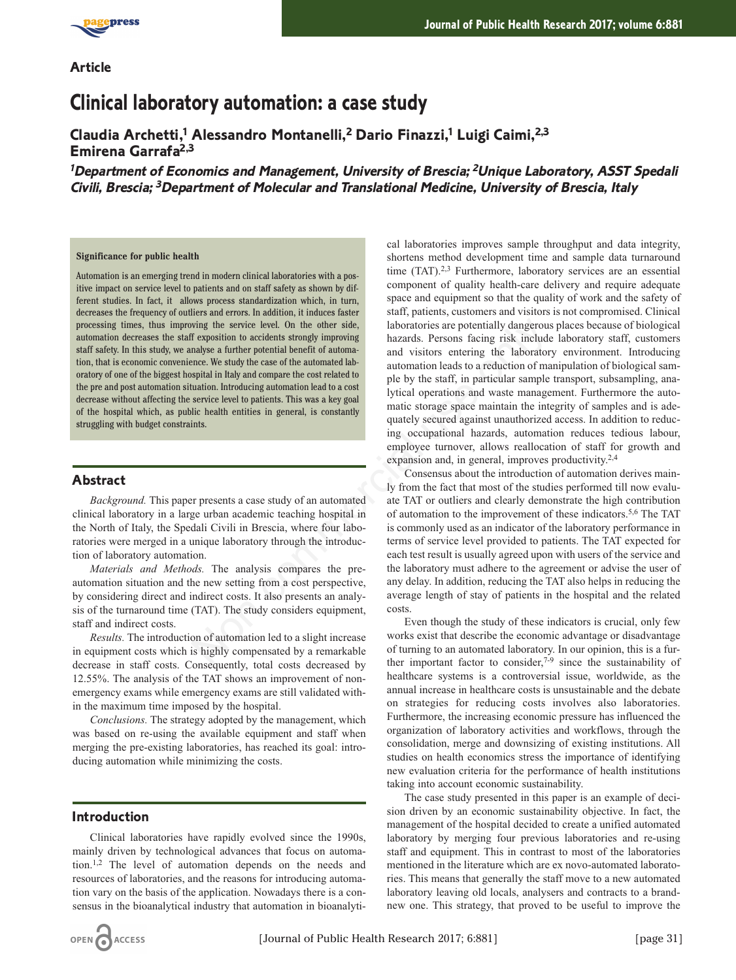

#### **Article**

# **Clinical laboratory automation: a case study**

## **Claudia Archetti,1 Alessandro Montanelli,2 Dario Finazzi,1 Luigi Caimi,2,3 Emirena Garrafa2,3**

**<sup>1</sup>Department of Economics and Management, University of Brescia; <sup>2</sup>Unique Laboratory, ASST Spedali Civili, Brescia; <sup>3</sup>Department of Molecular and Translational Medicine, University of Brescia, Italy**

#### **Significance for public health**

Automation is an emerging trend in modern clinical laboratories with a positive impact on service level to patients and on staff safety as shown by different studies. In fact, it allows process standardization which, in turn, decreases the frequency of outliers and errors. In addition, it induces faster processing times, thus improving the service level. On the other side, automation decreases the staff exposition to accidents strongly improving staff safety. In this study, we analyse a further potential benefit of automation, that is economic convenience. We study the case of the automated laboratory of one of the biggest hospital in Italy and compare the cost related to the pre and post automation situation. Introducing automation lead to a cost decrease without affecting the service level to patients. This was a key goal of the hospital which, as public health entities in general, is constantly struggling with budget constraints.

## **Abstract**

*Background.* This paper presents a case study of an automated clinical laboratory in a large urban academic teaching hospital in the North of Italy, the Spedali Civili in Brescia, where four laboratories were merged in a unique laboratory through the introduction of laboratory automation.

*Materials and Methods.* The analysis compares the preautomation situation and the new setting from a cost perspective, by considering direct and indirect costs. It also presents an analysis of the turnaround time (TAT). The study considers equipment, staff and indirect costs.

*Results.* The introduction of automation led to a slight increase in equipment costs which is highly compensated by a remarkable decrease in staff costs. Consequently, total costs decreased by 12.55%. The analysis of the TAT shows an improvement of nonemergency exams while emergency exams are still validated within the maximum time imposed by the hospital.

*Conclusions.* The strategy adopted by the management, which was based on re-using the available equipment and staff when merging the pre-existing laboratories, has reached its goal: introducing automation while minimizing the costs.

## **Introduction**

Clinical laboratories have rapidly evolved since the 1990s, mainly driven by technological advances that focus on automation.1,2 The level of automation depends on the needs and resources of laboratories, and the reasons for introducing automation vary on the basis of the application. Nowadays there is a consensus in the bioanalytical industry that automation in bioanalyti-

cal laboratories improves sample throughput and data integrity, shortens method development time and sample data turnaround time (TAT).<sup>2,3</sup> Furthermore, laboratory services are an essential component of quality health-care delivery and require adequate space and equipment so that the quality of work and the safety of staff, patients, customers and visitors is not compromised. Clinical laboratories are potentially dangerous places because of biological hazards. Persons facing risk include laboratory staff, customers and visitors entering the laboratory environment. Introducing automation leads to a reduction of manipulation of biological sample by the staff, in particular sample transport, subsampling, analytical operations and waste management. Furthermore the automatic storage space maintain the integrity of samples and is adequately secured against unauthorized access. In addition to reducing occupational hazards, automation reduces tedious labour, employee turnover, allows reallocation of staff for growth and expansion and, in general, improves productivity.<sup>2,4</sup> wing the service level. On the other side,<br>
also contains are potentially dangerous<br>
nakyes a further potential benefit of automa-<br>
and visitors entering the kinchulot<br>
nakyes a further potential benefit of automated lab-

Consensus about the introduction of automation derives mainly from the fact that most of the studies performed till now evaluate TAT or outliers and clearly demonstrate the high contribution of automation to the improvement of these indicators.<sup>5,6</sup> The TAT is commonly used as an indicator of the laboratory performance in terms of service level provided to patients. The TAT expected for each test result is usually agreed upon with users of the service and the laboratory must adhere to the agreement or advise the user of any delay. In addition, reducing the TAT also helps in reducing the average length of stay of patients in the hospital and the related costs.

Even though the study of these indicators is crucial, only few works exist that describe the economic advantage or disadvantage of turning to an automated laboratory. In our opinion, this is a further important factor to consider, $7-9$  since the sustainability of healthcare systems is a controversial issue, worldwide, as the annual increase in healthcare costs is unsustainable and the debate on strategies for reducing costs involves also laboratories. Furthermore, the increasing economic pressure has influenced the organization of laboratory activities and workflows, through the consolidation, merge and downsizing of existing institutions. All studies on health economics stress the importance of identifying new evaluation criteria for the performance of health institutions taking into account economic sustainability.

The case study presented in this paper is an example of decision driven by an economic sustainability objective. In fact, the management of the hospital decided to create a unified automated laboratory by merging four previous laboratories and re-using staff and equipment. This in contrast to most of the laboratories mentioned in the literature which are ex novo-automated laboratories. This means that generally the staff move to a new automated laboratory leaving old locals, analysers and contracts to a brandnew one. This strategy, that proved to be useful to improve the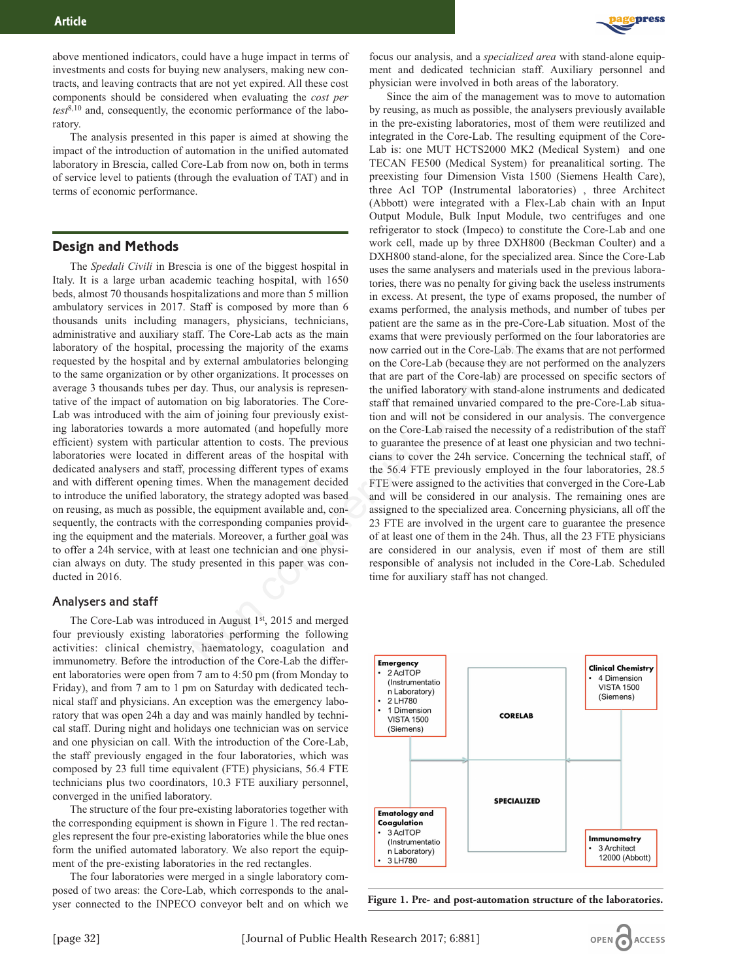press

above mentioned indicators, could have a huge impact in terms of investments and costs for buying new analysers, making new contracts, and leaving contracts that are not yet expired. All these cost components should be considered when evaluating the *cost per*  $test^{8,10}$  and, consequently, the economic performance of the laboratory.

The analysis presented in this paper is aimed at showing the impact of the introduction of automation in the unified automated laboratory in Brescia, called Core-Lab from now on, both in terms of service level to patients (through the evaluation of TAT) and in terms of economic performance.

### **Design and Methods**

The *Spedali Civili* in Brescia is one of the biggest hospital in Italy. It is a large urban academic teaching hospital, with 1650 beds, almost 70 thousands hospitalizations and more than 5 million ambulatory services in 2017. Staff is composed by more than 6 thousands units including managers, physicians, technicians, administrative and auxiliary staff. The Core-Lab acts as the main laboratory of the hospital, processing the majority of the exams requested by the hospital and by external ambulatories belonging to the same organization or by other organizations. It processes on average 3 thousands tubes per day. Thus, our analysis is representative of the impact of automation on big laboratories. The Core-Lab was introduced with the aim of joining four previously existing laboratories towards a more automated (and hopefully more efficient) system with particular attention to costs. The previous laboratories were located in different areas of the hospital with dedicated analysers and staff, processing different types of exams and with different opening times. When the management decided to introduce the unified laboratory, the strategy adopted was based on reusing, as much as possible, the equipment available and, consequently, the contracts with the corresponding companies providing the equipment and the materials. Moreover, a further goal was to offer a 24h service, with at least one technician and one physician always on duty. The study presented in this paper was conducted in 2016.

#### Analysers and staff

The Core-Lab was introduced in August 1<sup>st</sup>, 2015 and merged four previously existing laboratories performing the following activities: clinical chemistry, haematology, coagulation and immunometry. Before the introduction of the Core-Lab the different laboratories were open from 7 am to 4:50 pm (from Monday to Friday), and from 7 am to 1 pm on Saturday with dedicated technical staff and physicians. An exception was the emergency laboratory that was open 24h a day and was mainly handled by technical staff. During night and holidays one technician was on service and one physician on call. With the introduction of the Core-Lab, the staff previously engaged in the four laboratories, which was composed by 23 full time equivalent (FTE) physicians, 56.4 FTE technicians plus two coordinators, 10.3 FTE auxiliary personnel, converged in the unified laboratory.

The structure of the four pre-existing laboratories together with the corresponding equipment is shown in Figure 1. The red rectangles represent the four pre-existing laboratories while the blue ones form the unified automated laboratory. We also report the equipment of the pre-existing laboratories in the red rectangles.

The four laboratories were merged in a single laboratory composed of two areas: the Core-Lab, which corresponds to the analyser connected to the INPECO conveyor belt and on which we

focus our analysis, and a *specialized area* with stand-alone equipment and dedicated technician staff. Auxiliary personnel and physician were involved in both areas of the laboratory.

Since the aim of the management was to move to automation by reusing, as much as possible, the analysers previously available in the pre-existing laboratories, most of them were reutilized and integrated in the Core-Lab. The resulting equipment of the Core-Lab is: one MUT HCTS2000 MK2 (Medical System) and one TECAN FE500 (Medical System) for preanalitical sorting. The preexisting four Dimension Vista 1500 (Siemens Health Care), three Acl TOP (Instrumental laboratories) , three Architect (Abbott) were integrated with a Flex-Lab chain with an Input Output Module, Bulk Input Module, two centrifuges and one refrigerator to stock (Impeco) to constitute the Core-Lab and one work cell, made up by three DXH800 (Beckman Coulter) and a DXH800 stand-alone, for the specialized area. Since the Core-Lab uses the same analysers and materials used in the previous laboratories, there was no penalty for giving back the useless instruments in excess. At present, the type of exams proposed, the number of exams performed, the analysis methods, and number of tubes per patient are the same as in the pre-Core-Lab situation. Most of the exams that were previously performed on the four laboratories are now carried out in the Core-Lab. The exams that are not performed on the Core-Lab (because they are not performed on the analyzers that are part of the Core-lab) are processed on specific sectors of the unified laboratory with stand-alone instruments and dedicated staff that remained unvaried compared to the pre-Core-Lab situation and will not be considered in our analysis. The convergence on the Core-Lab raised the necessity of a redistribution of the staff to guarantee the presence of at least one physician and two technicians to cover the 24h service. Concerning the technical staff, of the 56.4 FTE previously employed in the four laboratories, 28.5 FTE were assigned to the activities that converged in the Core-Lab and will be considered in our analysis. The remaining ones are assigned to the specialized area. Concerning physicians, all off the 23 FTE are involved in the urgent care to guarantee the presence of at least one of them in the 24h. Thus, all the 23 FTE physicians are considered in our analysis, even if most of them are still responsible of analysis not included in the Core-Lab. Scheduled time for auxiliary staff has not changed. anagers, physicians, technicians, comparents, physicians, the same as in the pre-Core-<br>and F. The Core-Lab acts as the main exams that were previously performed o<br>consisting the majority of the exams now carried out in th



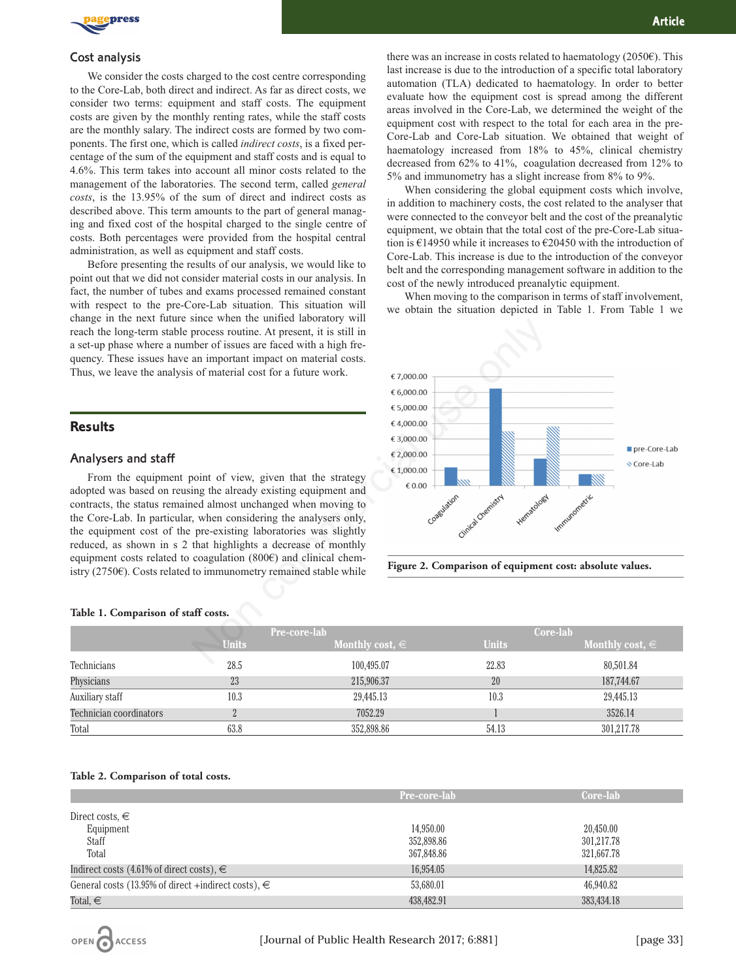

#### Cost analysis

We consider the costs charged to the cost centre corresponding to the Core-Lab, both direct and indirect. As far as direct costs, we consider two terms: equipment and staff costs. The equipment costs are given by the monthly renting rates, while the staff costs are the monthly salary. The indirect costs are formed by two components. The first one, which is called *indirect costs*, is a fixed percentage of the sum of the equipment and staff costs and is equal to 4.6%. This term takes into account all minor costs related to the management of the laboratories. The second term, called *general costs*, is the 13.95% of the sum of direct and indirect costs as described above. This term amounts to the part of general managing and fixed cost of the hospital charged to the single centre of costs. Both percentages were provided from the hospital central administration, as well as equipment and staff costs.

Before presenting the results of our analysis, we would like to point out that we did not consider material costs in our analysis. In fact, the number of tubes and exams processed remained constant with respect to the pre-Core-Lab situation. This situation will change in the next future since when the unified laboratory will reach the long-term stable process routine. At present, it is still in a set-up phase where a number of issues are faced with a high frequency. These issues have an important impact on material costs. Thus, we leave the analysis of material cost for a future work.

## **Results**

#### Analysers and staff

From the equipment point of view, given that the strategy adopted was based on reusing the already existing equipment and contracts, the status remained almost unchanged when moving to the Core-Lab. In particular, when considering the analysers only, the equipment cost of the pre-existing laboratories was slightly reduced, as shown in s 2 that highlights a decrease of monthly equipment costs related to coagulation (800 $\epsilon$ ) and clinical chemistry (2750€). Costs related to immunometry remained stable while there was an increase in costs related to haematology (2050 $\varepsilon$ ). This last increase is due to the introduction of a specific total laboratory automation (TLA) dedicated to haematology. In order to better evaluate how the equipment cost is spread among the different areas involved in the Core-Lab, we determined the weight of the equipment cost with respect to the total for each area in the pre-Core-Lab and Core-Lab situation. We obtained that weight of haematology increased from 18% to 45%, clinical chemistry decreased from 62% to 41%, coagulation decreased from 12% to 5% and immunometry has a slight increase from 8% to 9%.

When considering the global equipment costs which involve, in addition to machinery costs, the cost related to the analyser that were connected to the conveyor belt and the cost of the preanalytic equipment, we obtain that the total cost of the pre-Core-Lab situation is €14950 while it increases to €20450 with the introduction of Core-Lab. This increase is due to the introduction of the conveyor belt and the corresponding management software in addition to the cost of the newly introduced preanalytic equipment.

When moving to the comparison in terms of staff involvement, we obtain the situation depicted in Table 1. From Table 1 we



**Figure 2. Comparison of equipment cost: absolute values.**

#### **Table 1. Comparison of staff costs.**

|                         | <b>Pre-core-lab</b>      |                     | Core-lab     |                     |
|-------------------------|--------------------------|---------------------|--------------|---------------------|
|                         | <b>Units</b>             | Monthly cost, $\in$ | <b>Units</b> | Monthly cost, $\in$ |
| <b>Technicians</b>      | 28.5                     | 100,495.07          | 22.83        | 80,501.84           |
| Physicians              | 23                       | 215,906.37          | 20           | 187,744.67          |
| Auxiliary staff         | 10.3                     | 29,445.13           | 10.3         | 29,445.13           |
| Technician coordinators | $\eta$<br>$\overline{L}$ | 7052.29             |              | 3526.14             |
| Total                   | 63.8                     | 352,898.86          | 54.13        | 301,217.78          |

#### **Table 2. Comparison of total costs.**

|                                                       | <b>Pre-core-lab</b> | Core-lab   |
|-------------------------------------------------------|---------------------|------------|
| Direct costs, $\in$                                   |                     |            |
| Equipment                                             | 14,950.00           | 20,450.00  |
| Staff                                                 | 352,898.86          | 301,217.78 |
| Total                                                 | 367,848.86          | 321,667.78 |
| Indirect costs (4.61% of direct costs), $\in$         | 16,954.05           | 14,825.82  |
| General costs (13.95% of direct +indirect costs), $∈$ | 53,680.01           | 46,940.82  |
| Total, $\in$                                          | 438,482.91          | 383,434.18 |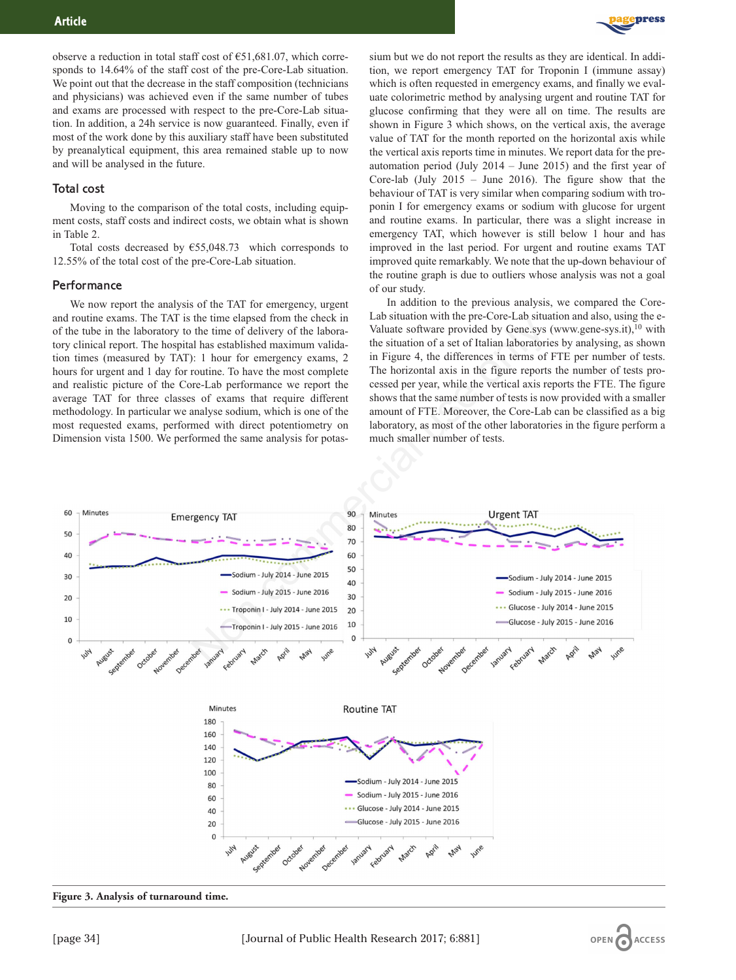

observe a reduction in total staff cost of €51,681.07, which corresponds to 14.64% of the staff cost of the pre-Core-Lab situation. We point out that the decrease in the staff composition (technicians and physicians) was achieved even if the same number of tubes and exams are processed with respect to the pre-Core-Lab situation. In addition, a 24h service is now guaranteed. Finally, even if most of the work done by this auxiliary staff have been substituted by preanalytical equipment, this area remained stable up to now and will be analysed in the future.

#### Total cost

Moving to the comparison of the total costs, including equipment costs, staff costs and indirect costs, we obtain what is shown in Table 2.

Total costs decreased by €55,048.73 which corresponds to 12.55% of the total cost of the pre-Core-Lab situation.

#### **Performance**

We now report the analysis of the TAT for emergency, urgent and routine exams. The TAT is the time elapsed from the check in of the tube in the laboratory to the time of delivery of the laboratory clinical report. The hospital has established maximum validation times (measured by TAT): 1 hour for emergency exams, 2 hours for urgent and 1 day for routine. To have the most complete and realistic picture of the Core-Lab performance we report the average TAT for three classes of exams that require different methodology. In particular we analyse sodium, which is one of the most requested exams, performed with direct potentiometry on Dimension vista 1500. We performed the same analysis for potas-

sium but we do not report the results as they are identical. In addition, we report emergency TAT for Troponin I (immune assay) which is often requested in emergency exams, and finally we evaluate colorimetric method by analysing urgent and routine TAT for glucose confirming that they were all on time. The results are shown in Figure 3 which shows, on the vertical axis, the average value of TAT for the month reported on the horizontal axis while the vertical axis reports time in minutes. We report data for the preautomation period (July 2014 – June 2015) and the first year of Core-lab (July 2015 – June 2016). The figure show that the behaviour of TAT is very similar when comparing sodium with troponin I for emergency exams or sodium with glucose for urgent and routine exams. In particular, there was a slight increase in emergency TAT, which however is still below 1 hour and has improved in the last period. For urgent and routine exams TAT improved quite remarkably. We note that the up-down behaviour of the routine graph is due to outliers whose analysis was not a goal of our study.

In addition to the previous analysis, we compared the Core-Lab situation with the pre-Core-Lab situation and also, using the e-Valuate software provided by Gene.sys (www.gene-sys.it), $^{10}$  with the situation of a set of Italian laboratories by analysing, as shown in Figure 4, the differences in terms of FTE per number of tests. The horizontal axis in the figure reports the number of tests processed per year, while the vertical axis reports the FTE. The figure shows that the same number of tests is now provided with a smaller amount of FTE. Moreover, the Core-Lab can be classified as a big laboratory, as most of the other laboratories in the figure perform a much smaller number of tests.



#### **Figure 3. Analysis of turnaround time.**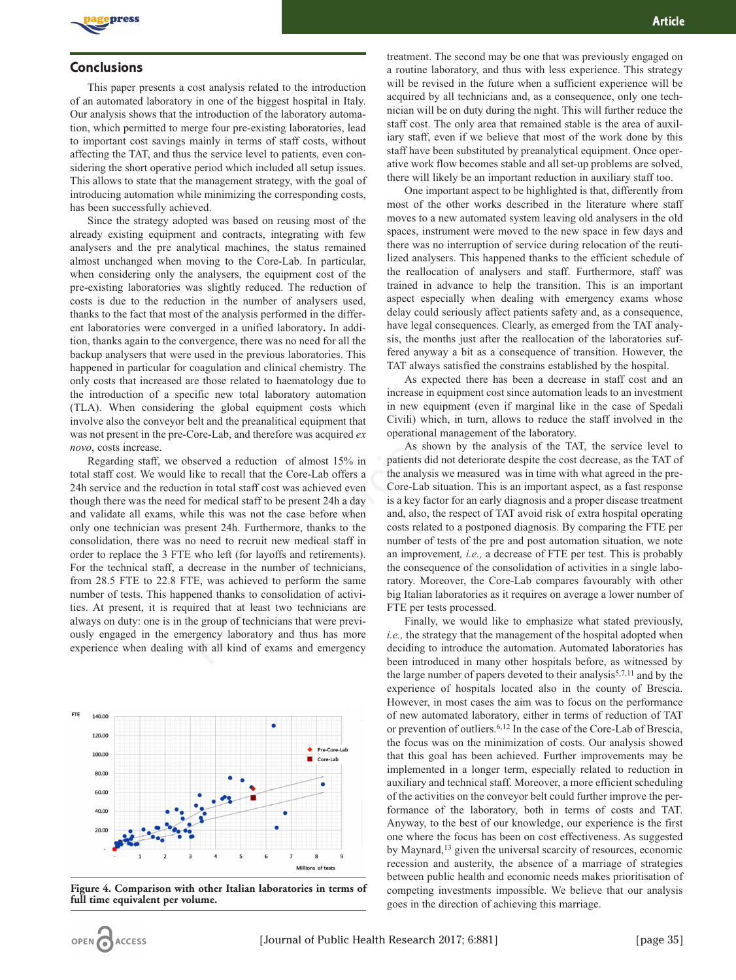

## **Conclusions**

This paper presents a cost analysis related to the introduction of an automated laboratory in one of the biggest hospital in Italy. Our analysis shows that the introduction of the laboratory automation, which permitted to merge four pre-existing laboratories, lead to important cost savings mainly in terms of staff costs, without affecting the TAT, and thus the service level to patients, even considering the short operative period which included all setup issues. This allows to state that the management strategy, with the goal of introducing automation while minimizing the corresponding costs, has been successfully achieved.

Since the strategy adopted was based on reusing most of the already existing equipment and contracts, integrating with few analysers and the pre analytical machines, the status remained almost unchanged when moving to the Core-Lab. In particular, when considering only the analysers, the equipment cost of the pre-existing laboratories was slightly reduced. The reduction of costs is due to the reduction in the number of analysers used, thanks to the fact that most of the analysis performed in the different laboratories were converged in a unified laboratory**.** In addition, thanks again to the convergence, there was no need for all the backup analysers that were used in the previous laboratories. This happened in particular for coagulation and clinical chemistry. The only costs that increased are those related to haematology due to the introduction of a specific new total laboratory automation (TLA). When considering the global equipment costs which involve also the conveyor belt and the preanalitical equipment that was not present in the pre-Core-Lab, and therefore was acquired *ex novo*, costs increase.

Regarding staff, we observed a reduction of almost 15% in total staff cost. We would like to recall that the Core-Lab offers a 24h service and the reduction in total staff cost was achieved even though there was the need for medical staff to be present 24h a day and validate all exams, while this was not the case before when only one technician was present 24h. Furthermore, thanks to the consolidation, there was no need to recruit new medical staff in order to replace the 3 FTE who left (for layoffs and retirements). For the technical staff, a decrease in the number of technicians, from 28.5 FTE to 22.8 FTE, was achieved to perform the same number of tests. This happened thanks to consolidation of activities. At present, it is required that at least two technicians are always on duty: one is in the group of technicians that were previously engaged in the emergency laboratory and thus has more experience when dealing with all kind of exams and emergency erged in a unified laboratory. In addi-<br>have legal consequences. Clearly, as<br>regence, there was no need for all the six, the months just after the realloco<br>coagulation and clinical chemisity. The fact anyway a bit as a co



**Figure 4. Comparison with other Italian laboratories in terms of full time equivalent per volume.**

treatment. The second may be one that was previously engaged on a routine laboratory, and thus with less experience. This strategy will be revised in the future when a sufficient experience will be acquired by all technicians and, as a consequence, only one technician will be on duty during the night. This will further reduce the staff cost. The only area that remained stable is the area of auxiliary staff, even if we believe that most of the work done by this staff have been substituted by preanalytical equipment. Once operative work flow becomes stable and all set-up problems are solved, there will likely be an important reduction in auxiliary staff too.

One important aspect to be highlighted is that, differently from most of the other works described in the literature where staff moves to a new automated system leaving old analysers in the old spaces, instrument were moved to the new space in few days and there was no interruption of service during relocation of the reutilized analysers. This happened thanks to the efficient schedule of the reallocation of analysers and staff. Furthermore, staff was trained in advance to help the transition. This is an important aspect especially when dealing with emergency exams whose delay could seriously affect patients safety and, as a consequence, have legal consequences. Clearly, as emerged from the TAT analysis, the months just after the reallocation of the laboratories suffered anyway a bit as a consequence of transition. However, the TAT always satisfied the constrains established by the hospital.

As expected there has been a decrease in staff cost and an increase in equipment cost since automation leads to an investment in new equipment (even if marginal like in the case of Spedali Civili) which, in turn, allows to reduce the staff involved in the operational management of the laboratory.

As shown by the analysis of the TAT, the service level to patients did not deteriorate despite the cost decrease, as the TAT of the analysis we measured was in time with what agreed in the pre-Core-Lab situation. This is an important aspect, as a fast response is a key factor for an early diagnosis and a proper disease treatment and, also, the respect of TAT avoid risk of extra hospital operating costs related to a postponed diagnosis. By comparing the FTE per number of tests of the pre and post automation situation, we note an improvement*, i.e.,* a decrease of FTE per test. This is probably the consequence of the consolidation of activities in a single laboratory. Moreover, the Core-Lab compares favourably with other big Italian laboratories as it requires on average a lower number of FTE per tests processed.

Finally, we would like to emphasize what stated previously, *i.e.,* the strategy that the management of the hospital adopted when deciding to introduce the automation. Automated laboratories has been introduced in many other hospitals before, as witnessed by the large number of papers devoted to their analysis<sup>5,7,11</sup> and by the experience of hospitals located also in the county of Brescia. However, in most cases the aim was to focus on the performance of new automated laboratory, either in terms of reduction of TAT or prevention of outliers.6,12 In the case of the Core-Lab of Brescia, the focus was on the minimization of costs. Our analysis showed that this goal has been achieved. Further improvements may be implemented in a longer term, especially related to reduction in auxiliary and technical staff. Moreover, a more efficient scheduling of the activities on the conveyor belt could further improve the performance of the laboratory, both in terms of costs and TAT. Anyway, to the best of our knowledge, our experience is the first one where the focus has been on cost effectiveness. As suggested by Maynard,13 given the universal scarcity of resources, economic recession and austerity, the absence of a marriage of strategies between public health and economic needs makes prioritisation of competing investments impossible. We believe that our analysis goes in the direction of achieving this marriage.